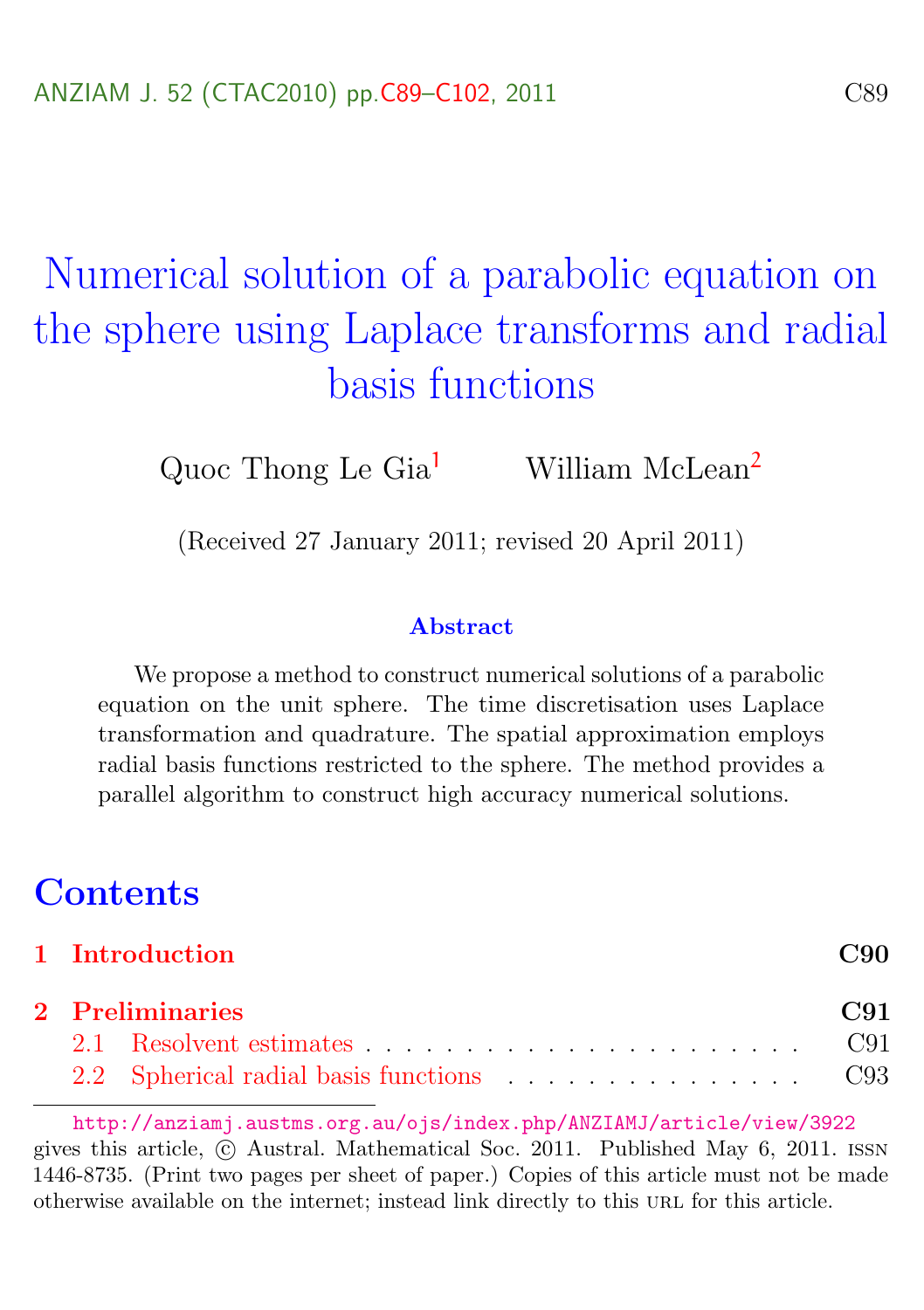# <span id="page-0-0"></span>Numerical solution of a parabolic equation on the sphere using Laplace transforms and radial basis functions

Quoc Thong Le  $\text{Gia}^1$  $\text{Gia}^1$  William McLean<sup>[2](#page-13-0)</sup>

(Received 27 January 2011; revised 20 April 2011)

#### Abstract

We propose a method to construct numerical solutions of a parabolic equation on the unit sphere. The time discretisation uses Laplace transformation and quadrature. The spatial approximation employs radial basis functions restricted to the sphere. The method provides a parallel algorithm to construct high accuracy numerical solutions.

# **Contents**

|                 | 1 Introduction                                                                                                                                                                                                                 | C90 |  |  |  |  |  |
|-----------------|--------------------------------------------------------------------------------------------------------------------------------------------------------------------------------------------------------------------------------|-----|--|--|--|--|--|
| 2 Preliminaries |                                                                                                                                                                                                                                |     |  |  |  |  |  |
|                 | 2.1 Resolvent estimates expansion of the contract contract contract contract contract contract contract contract contract contract contract contract contract contract contract contract contract contract contract contract c |     |  |  |  |  |  |
|                 |                                                                                                                                                                                                                                |     |  |  |  |  |  |

<http://anziamj.austms.org.au/ojs/index.php/ANZIAMJ/article/view/3922> gives this article, © Austral. Mathematical Soc. 2011. Published May 6, 2011. ISSN 1446-8735. (Print two pages per sheet of paper.) Copies of this article must not be made otherwise available on the internet; instead link directly to this URL for this article.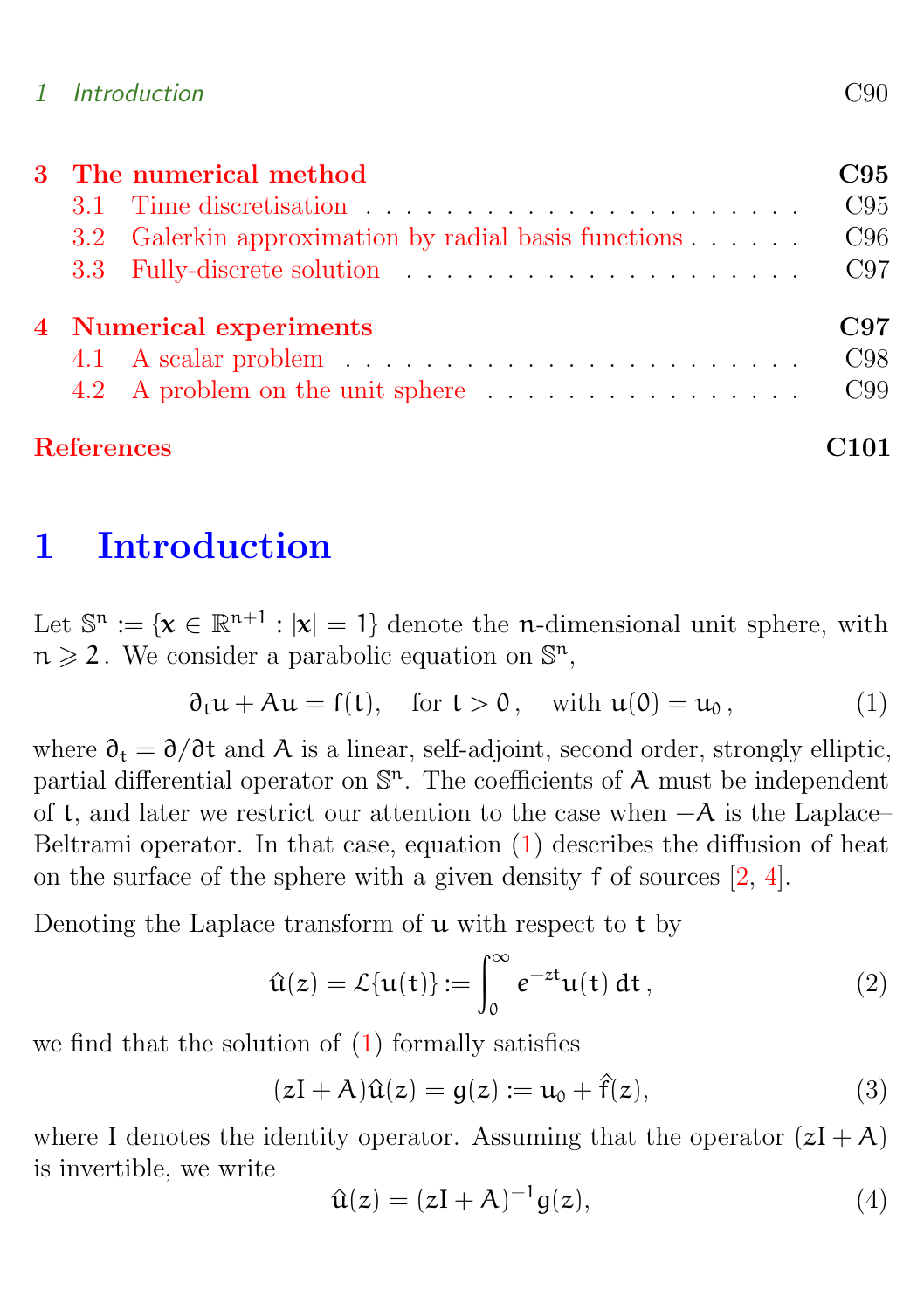#### <span id="page-1-4"></span>1 Introduction C90

| 3 The numerical method  |                                                                                |     |  |  |  |  |
|-------------------------|--------------------------------------------------------------------------------|-----|--|--|--|--|
| 3.1                     |                                                                                | C95 |  |  |  |  |
|                         | 3.2 Galerkin approximation by radial basis functions                           | C96 |  |  |  |  |
|                         | 3.3 Fully-discrete solution                                                    | C97 |  |  |  |  |
| 4 Numerical experiments |                                                                                |     |  |  |  |  |
|                         | 4.1 A scalar problem $\ldots \ldots \ldots \ldots \ldots \ldots \ldots \ldots$ | C98 |  |  |  |  |
|                         | 4.2 A problem on the unit sphere                                               | C99 |  |  |  |  |
| <b>References</b>       |                                                                                |     |  |  |  |  |

# <span id="page-1-0"></span>1 Introduction

Let  $\mathbb{S}^n := \{ \mathbf{x} \in \mathbb{R}^{n+1} : |\mathbf{x}| = 1 \}$  denote the n-dimensional unit sphere, with  $n \geqslant 2$ . We consider a parabolic equation on  $\mathbb{S}^n$ ,

<span id="page-1-1"></span>
$$
\partial_t \mathfrak{u} + A \mathfrak{u} = f(t), \quad \text{for } t > 0, \quad \text{with } \mathfrak{u}(0) = \mathfrak{u}_0,
$$
 (1)

where  $\partial_t = \partial/\partial t$  and A is a linear, self-adjoint, second order, strongly elliptic, partial differential operator on  $\mathbb{S}^n$ . The coefficients of A must be independent of t, and later we restrict our attention to the case when −A is the Laplace– Beltrami operator. In that case, equation [\(1\)](#page-1-1) describes the diffusion of heat on the surface of the sphere with a given density f of sources [\[2,](#page-12-1) [4\]](#page-12-2).

Denoting the Laplace transform of  $\mu$  with respect to t by

$$
\hat{\mathbf{u}}(z) = \mathcal{L}\{\mathbf{u}(t)\} := \int_0^\infty e^{-zt} \mathbf{u}(t) dt, \qquad (2)
$$

we find that the solution of [\(1\)](#page-1-1) formally satisfies

<span id="page-1-3"></span>
$$
(zI + A)\hat{u}(z) = g(z) := u_0 + \hat{f}(z),
$$
 (3)

where I denotes the identity operator. Assuming that the operator  $(zI + A)$ is invertible, we write

<span id="page-1-2"></span>
$$
\hat{\mathbf{u}}(z) = (z\mathbf{I} + \mathbf{A})^{-1} \mathbf{g}(z),\tag{4}
$$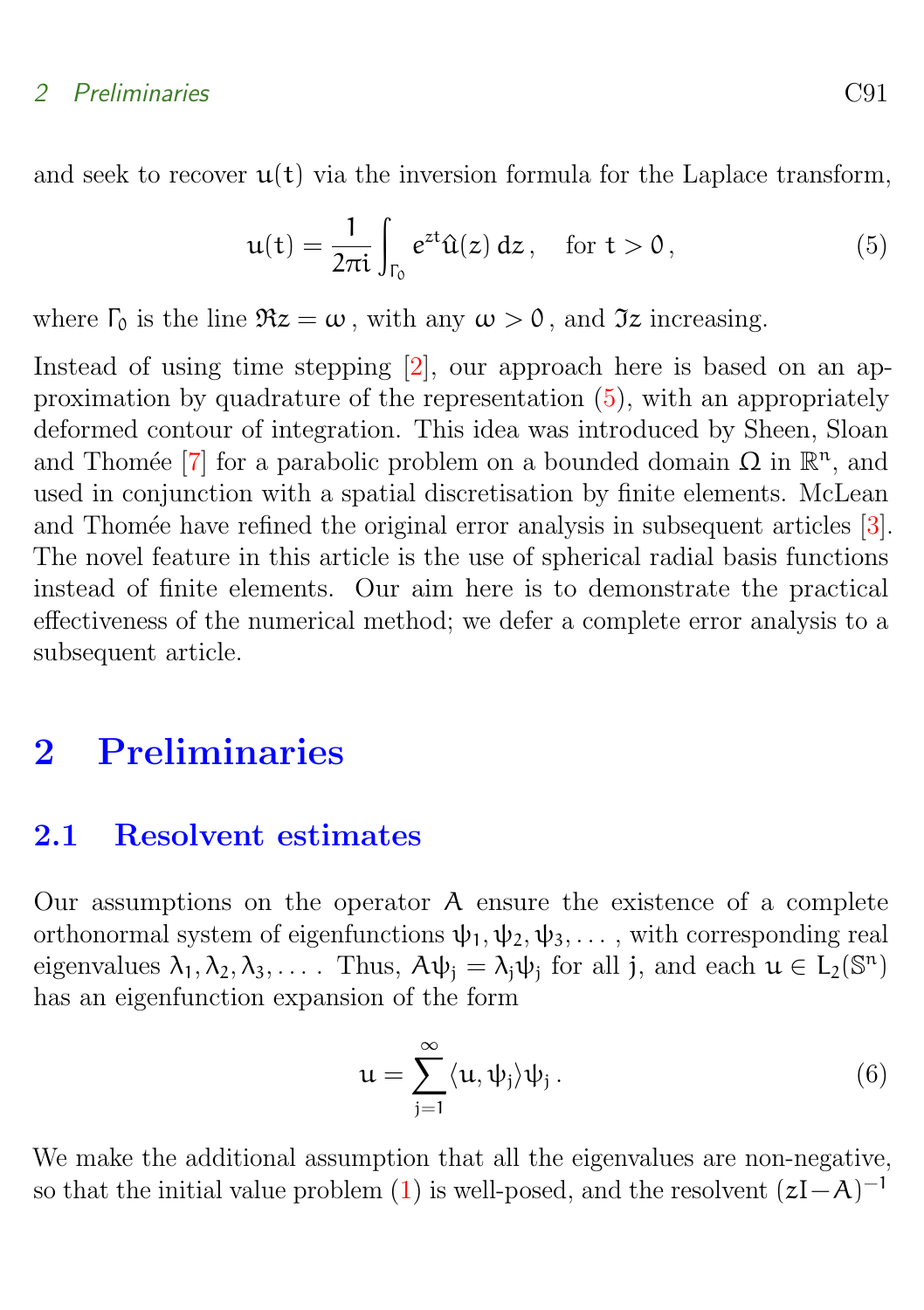<span id="page-2-4"></span>and seek to recover  $u(t)$  via the inversion formula for the Laplace transform,

<span id="page-2-2"></span>
$$
u(t) = \frac{1}{2\pi i} \int_{\Gamma_0} e^{zt} \hat{u}(z) dz, \quad \text{for } t > 0,
$$
 (5)

where  $\Gamma_0$  is the line  $\Re z = \omega$ , with any  $\omega > 0$ , and  $\Im z$  increasing.

Instead of using time stepping [\[2\]](#page-12-1), our approach here is based on an approximation by quadrature of the representation [\(5\)](#page-2-2), with an appropriately deformed contour of integration. This idea was introduced by Sheen, Sloan and Thomée [\[7\]](#page-13-2) for a parabolic problem on a bounded domain  $\Omega$  in  $\mathbb{R}^n$ , and used in conjunction with a spatial discretisation by finite elements. McLean and Thomée have refined the original error analysis in subsequent articles [\[3\]](#page-12-3). The novel feature in this article is the use of spherical radial basis functions instead of finite elements. Our aim here is to demonstrate the practical effectiveness of the numerical method; we defer a complete error analysis to a subsequent article.

# <span id="page-2-0"></span>2 Preliminaries

#### <span id="page-2-1"></span>2.1 Resolvent estimates

Our assumptions on the operator A ensure the existence of a complete orthonormal system of eigenfunctions  $\psi_1, \psi_2, \psi_3, \dots$ , with corresponding real eigenvalues  $\lambda_1, \lambda_2, \lambda_3, \ldots$  Thus,  $A\psi_j = \lambda_j \psi_j$  for all j, and each  $\mu \in L_2(\mathbb{S}^n)$ has an eigenfunction expansion of the form

<span id="page-2-3"></span>
$$
\mathfrak{u} = \sum_{j=1}^{\infty} \langle \mathfrak{u}, \psi_j \rangle \psi_j . \tag{6}
$$

We make the additional assumption that all the eigenvalues are non-negative, so that the initial value problem [\(1\)](#page-1-1) is well-posed, and the resolvent  $(zI-A)^{-1}$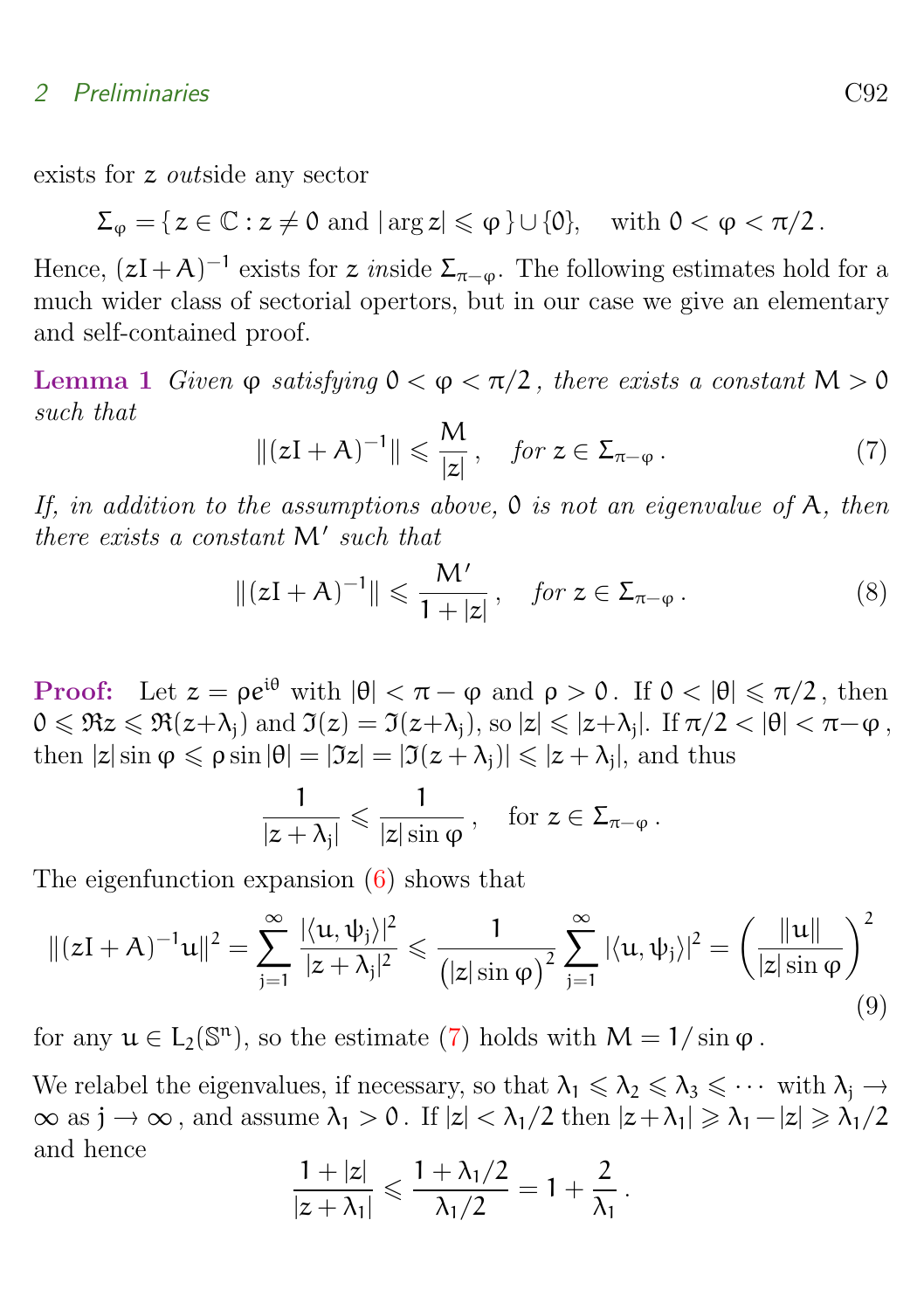exists for z outside any sector

$$
\Sigma_\phi = \{ \, z \in \mathbb{C} : z \neq 0 \, \, \mathrm{and} \, \, |\arg z| \leqslant \phi \, \} \cup \{0\}, \quad \text{with} \, \, 0 < \phi < \pi/2 \, .
$$

Hence,  $(zI + A)^{-1}$  exists for z *inside*  $\Sigma_{\pi-\varphi}$ . The following estimates hold for a much wider class of sectorial opertors, but in our case we give an elementary and self-contained proof.

<span id="page-3-3"></span>Lemma 1 Given  $\varphi$  satisfying  $0 < \varphi < \pi/2$ , there exists a constant  $M > 0$ such that

<span id="page-3-0"></span>
$$
\|(zI + A)^{-1}\| \leqslant \frac{M}{|z|}, \quad \text{for } z \in \Sigma_{\pi - \varphi} \,.
$$

If, in addition to the assumptions above,  $\mathfrak O$  is not an eigenvalue of A, then there exists a constant  $M'$  such that

<span id="page-3-2"></span>
$$
\|(zI+A)^{-1}\| \leqslant \frac{M'}{1+|z|}, \quad \text{for } z \in \Sigma_{\pi-\varphi} \,.
$$
 (8)

**Proof:** Let  $z = \rho e^{i\theta}$  with  $|\theta| < \pi - \varphi$  and  $\rho > 0$ . If  $0 < |\theta| \leq \pi/2$ , then  $0 \le \Re z \le \Re(z+\lambda_j)$  and  $\Im(z) = \Im(z+\lambda_j)$ , so  $|z| \le |z+\lambda_j|$ . If  $\pi/2 < |\theta| < \pi-\varphi$ , then  $|z| \sin \varphi \leqslant \rho \sin |\theta| = |\Im z| = |\Im(z + \lambda_j)| \leqslant |z + \lambda_j|$ , and thus

$$
\frac{1}{|z+\lambda_j|} \leqslant \frac{1}{|z|\sin\varphi}\,, \quad \text{for } z \in \Sigma_{\pi-\varphi}\,.
$$

The eigenfunction expansion [\(6\)](#page-2-3) shows that

<span id="page-3-1"></span>
$$
\|(zI+A)^{-1}u\|^2 = \sum_{j=1}^{\infty} \frac{|\langle u, \psi_j \rangle|^2}{|z+\lambda_j|^2} \leq \frac{1}{\left(|z|\sin \varphi\right)^2} \sum_{j=1}^{\infty} |\langle u, \psi_j \rangle|^2 = \left(\frac{\|u\|}{|z|\sin \varphi}\right)^2
$$
\n(9)

for any  $u \in L_2(\mathbb{S}^n)$ , so the estimate [\(7\)](#page-3-0) holds with  $M = 1/\sin \varphi$ .

We relabel the eigenvalues, if necessary, so that  $\lambda_1 \leq \lambda_2 \leq \lambda_3 \leq \cdots$  with  $\lambda_i \to$  $\infty$  as  $j \to \infty$ , and assume  $\lambda_1 > 0$ . If  $|z| < \lambda_1/2$  then  $|z + \lambda_1| \ge \lambda_1 - |z| \ge \lambda_1/2$ and hence

$$
\frac{1+|z|}{|z+\lambda_1|}\leqslant \frac{1+\lambda_1/2}{\lambda_1/2}=1+\frac{2}{\lambda_1}.
$$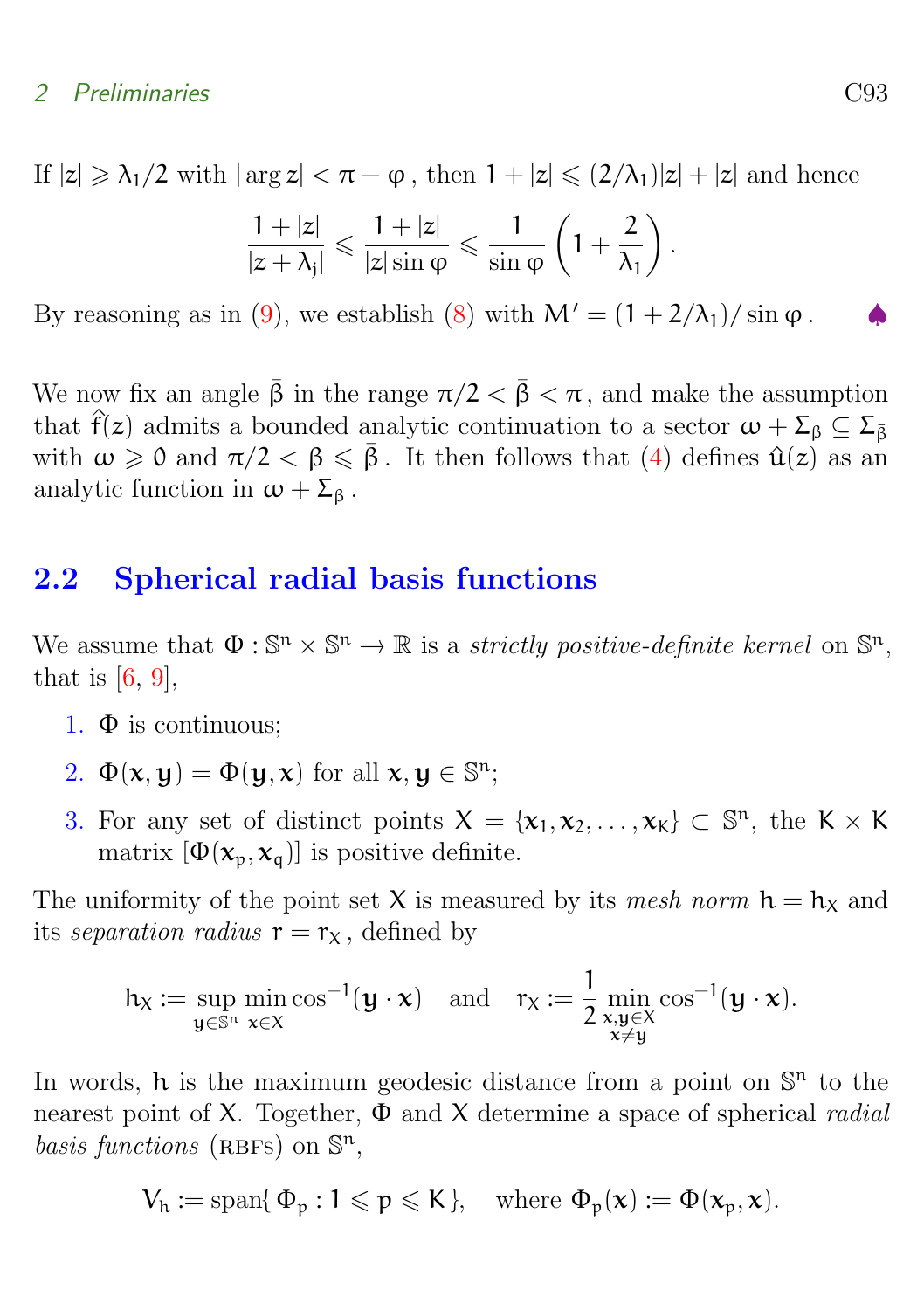<span id="page-4-1"></span>If  $|z| \geq \lambda_1/2$  with  $|\arg z| < \pi - \varphi$ , then  $1 + |z| \leq (2/\lambda_1)|z| + |z|$  and hence

$$
\frac{1+|z|}{|z+\lambda_j|}\leqslant \frac{1+|z|}{|z|\sin\phi}\leqslant \frac{1}{\sin\phi}\left(1+\frac{2}{\lambda_1}\right).
$$

By reasoning as in [\(9\)](#page-3-1), we establish [\(8\)](#page-3-2) with  $M' = (1 + 2/\lambda_1)/\sin \varphi$ .

We now fix an angle  $\bar{\beta}$  in the range  $\pi/2 < \bar{\beta} < \pi$ , and make the assumption that  $\hat{f}(z)$  admits a bounded analytic continuation to a sector  $\omega + \Sigma_{\beta} \subseteq \Sigma_{\bar{\beta}}$ with  $\omega \geq 0$  and  $\pi/2 < \beta \leq \overline{\beta}$ . It then follows that [\(4\)](#page-1-2) defines  $\hat{u}(z)$  as an analytic function in  $\omega + \Sigma_{\beta}$ .

### <span id="page-4-0"></span>2.2 Spherical radial basis functions

We assume that  $\Phi : \mathbb{S}^n \times \mathbb{S}^n \to \mathbb{R}$  is a *strictly positive-definite kernel* on  $\mathbb{S}^n$ ,<br>that is [6, 0] that is  $[6, 9]$  $[6, 9]$  $[6, 9]$ ,

- 1. Φ is continuous;
- 2.  $\Phi(\mathbf{x}, \mathbf{y}) = \Phi(\mathbf{y}, \mathbf{x})$  for all  $\mathbf{x}, \mathbf{y} \in \mathbb{S}^n$ ;
- 3. For any set of distinct points  $X = \{x_1, x_2, \ldots, x_K\} \subset \mathbb{S}^n$ , the  $K \times K$ matrix  $[\Phi(\mathbf{x}_p, \mathbf{x}_q)]$  is positive definite.

The uniformity of the point set X is measured by its mesh norm  $h = h_X$  and its separation radius  $r = r_X$ , defined by

$$
\mathrm{h}_{\chi}:=\sup_{\mathbf{y}\in\mathbb{S}^n}\min_{\mathbf{x}\in\chi}\cos^{-1}(\mathbf{y}\cdot\mathbf{x})\quad\text{and}\quad \mathrm{r}_{\chi}:=\frac{1}{2}\min_{\substack{\mathbf{x},\mathbf{y}\in\chi\\ \mathbf{x}\neq\mathbf{y}}}\cos^{-1}(\mathbf{y}\cdot\mathbf{x}).
$$

In words, h is the maximum geodesic distance from a point on  $\mathbb{S}^n$  to the nearest point of X. Together,  $\Phi$  and X determine a space of spherical *radial* basis functions (RBFs) on  $\mathbb{S}^n$ ,

$$
V_h := \operatorname{span} \{ \, \Phi_p : 1 \leqslant p \leqslant K \}, \quad \text{where } \Phi_p(\mathbf{x}) := \Phi(\mathbf{x}_p, \mathbf{x}).
$$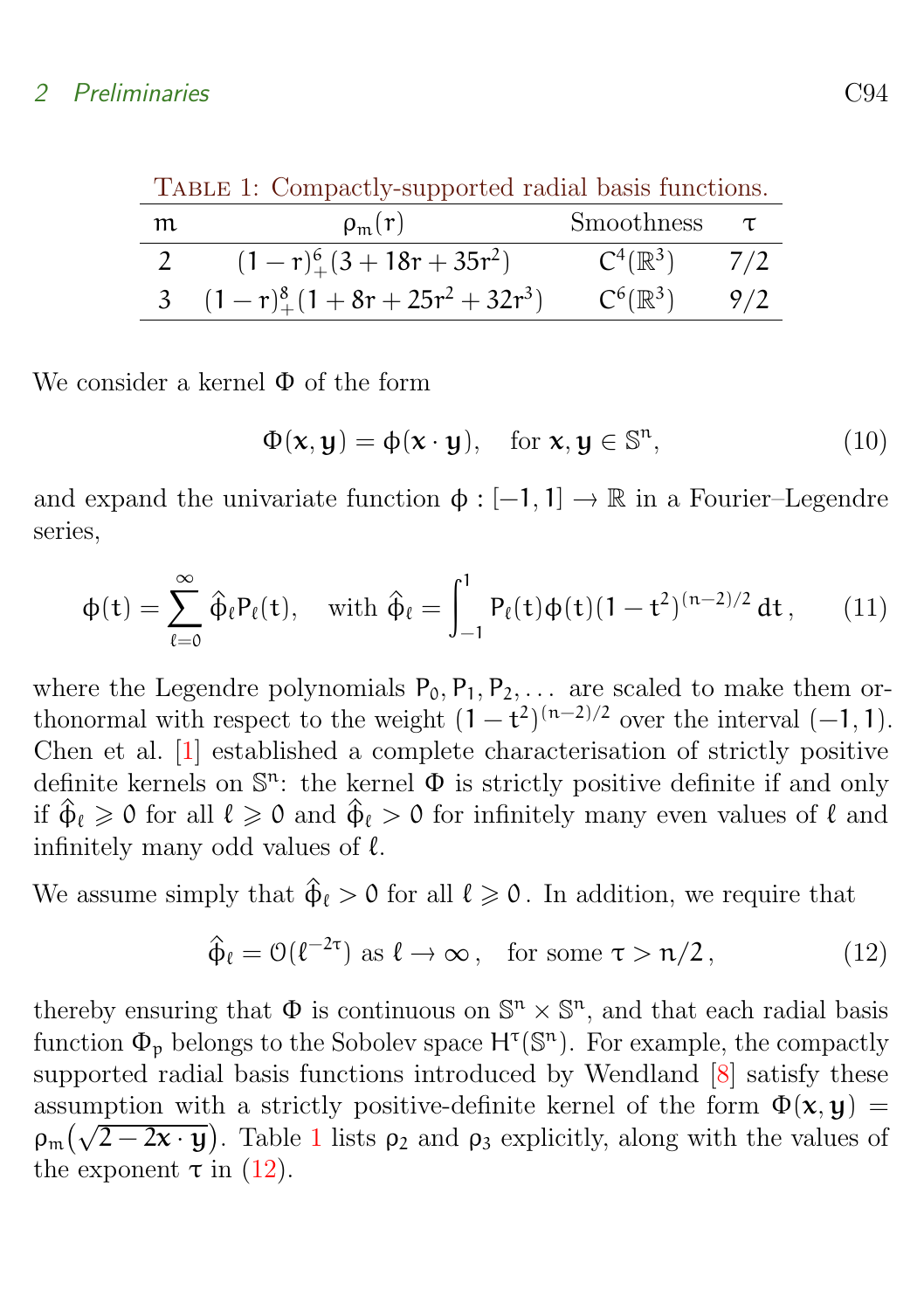<span id="page-5-2"></span><span id="page-5-0"></span>

| TABLE 1: Compactly-supported radial basis functions. |                                         |                     |        |  |  |  |
|------------------------------------------------------|-----------------------------------------|---------------------|--------|--|--|--|
| m                                                    | $\rho_{m}(r)$                           | Smoothness          | $\tau$ |  |  |  |
|                                                      | $(1 - r)^{6}_{+}(3 + 18r + 35r^{2})$    | $C^4(\mathbb{R}^3)$ | 7/2    |  |  |  |
|                                                      | 3 $(1-r)^{8}_{+}(1+8r+25r^{2}+32r^{3})$ | $C^6(\mathbb{R}^3)$ | 9/2    |  |  |  |

We consider a kernel  $\Phi$  of the form

$$
\Phi(\mathbf{x}, \mathbf{y}) = \phi(\mathbf{x} \cdot \mathbf{y}), \quad \text{for } \mathbf{x}, \mathbf{y} \in \mathbb{S}^n,
$$
 (10)

and expand the univariate function  $\phi : [-1, 1] \to \mathbb{R}$  in a Fourier–Legendre series,

$$
\varphi(t) = \sum_{\ell=0}^{\infty} \hat{\varphi}_{\ell} P_{\ell}(t), \quad \text{with } \hat{\varphi}_{\ell} = \int_{-1}^{1} P_{\ell}(t) \varphi(t) (1-t^2)^{(n-2)/2} dt, \qquad (11)
$$

where the Legendre polynomials  $P_0, P_1, P_2, \ldots$  are scaled to make them orthonormal with respect to the weight  $(1-t^2)^{(n-2)/2}$  over the interval  $(-1,1)$ . Chen et al. [\[1\]](#page-12-4) established a complete characterisation of strictly positive definite kernels on  $\mathbb{S}^n$ : the kernel  $\Phi$  is strictly positive definite if and only if  $\hat{\Phi}_\ell \geq 0$  for all  $\ell \geq 0$  and  $\hat{\Phi}_\ell > 0$  for infinitely many even values of  $\ell$  and infinitely many odd values of  $\ell$ .

We assume simply that  $\hat{\Phi}_\ell > 0$  for all  $\ell \geq 0$ . In addition, we require that

<span id="page-5-1"></span>
$$
\hat{\Phi}_{\ell} = \mathcal{O}(\ell^{-2\tau}) \text{ as } \ell \to \infty, \text{ for some } \tau > n/2, \qquad (12)
$$

thereby ensuring that  $\Phi$  is continuous on  $\mathbb{S}^n \times \mathbb{S}^n$ , and that each radial basis function  $\Phi_{\mathfrak{p}}$  belongs to the Sobolev space  $H^{\tau}(\mathbb{S}^n)$ . For example, the compactly supported radial basis functions introduced by Wendland [\[8\]](#page-13-5) satisfy these assumption with a strictly positive-definite kernel of the form  $\Phi(\mathbf{x},\mathbf{y}) =$ assumption with a strictly positive-definite kerner of the form  $\Phi(x, y) = \rho_m(\sqrt{2-2x\cdot y})$ . Table [1](#page-5-0) lists  $\rho_2$  and  $\rho_3$  explicitly, along with the values of the exponent  $\tau$  in [\(12\)](#page-5-1).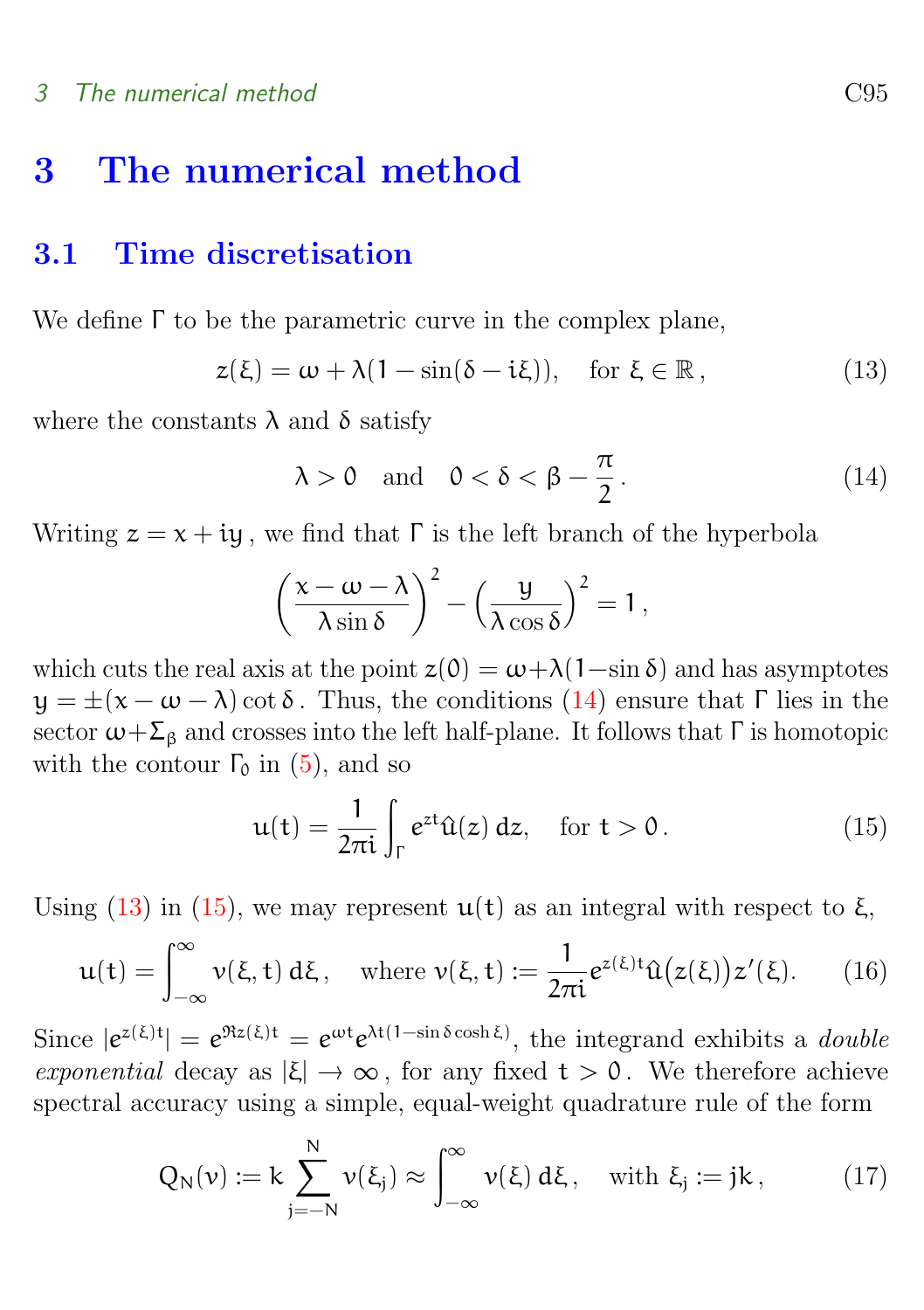# <span id="page-6-0"></span>3 The numerical method

### <span id="page-6-1"></span>3.1 Time discretisation

We define Γ to be the parametric curve in the complex plane,

<span id="page-6-3"></span>
$$
z(\xi) = \omega + \lambda (1 - \sin(\delta - i\xi)), \quad \text{for } \xi \in \mathbb{R}, \tag{13}
$$

where the constants  $\lambda$  and  $\delta$  satisfy

<span id="page-6-2"></span>
$$
\lambda > 0 \quad \text{and} \quad 0 < \delta < \beta - \frac{\pi}{2} \,. \tag{14}
$$

Writing  $z = x + iy$ , we find that  $\Gamma$  is the left branch of the hyperbola

$$
\left(\frac{x-\omega-\lambda}{\lambda\sin\delta}\right)^2 - \left(\frac{y}{\lambda\cos\delta}\right)^2 = 1,
$$

which cuts the real axis at the point  $z(0) = \omega + \lambda(1-\sin \delta)$  and has asymptotes  $y = \pm(x - \omega - \lambda) \cot \delta$ . Thus, the conditions [\(14\)](#page-6-2) ensure that  $\Gamma$  lies in the sector  $\omega + \Sigma_6$  and crosses into the left half-plane. It follows that  $\Gamma$  is homotopic with the contour  $\Gamma_0$  in [\(5\)](#page-2-2), and so

<span id="page-6-4"></span>
$$
\mathfrak{u}(\mathfrak{t}) = \frac{1}{2\pi\mathfrak{i}} \int_{\Gamma} e^{zt} \hat{\mathfrak{u}}(z) dz, \quad \text{for } \mathfrak{t} > 0.
$$
 (15)

Using [\(13\)](#page-6-3) in [\(15\)](#page-6-4), we may represent  $u(t)$  as an integral with respect to  $\xi$ ,

$$
\mathbf{u}(t) = \int_{-\infty}^{\infty} \mathbf{v}(\xi, t) \, d\xi, \quad \text{where } \mathbf{v}(\xi, t) := \frac{1}{2\pi i} e^{z(\xi)t} \hat{\mathbf{u}}(z(\xi)) z'(\xi). \tag{16}
$$

Since  $|e^{z(\xi)t}| = e^{\Re z(\xi)t} = e^{\omega t} e^{\lambda t(1-\sin \delta \cosh \xi)}$ , the integrand exhibits a *double* exponential decay as  $|\xi| \to \infty$ , for any fixed  $t > 0$ . We therefore achieve spectral accuracy using a simple, equal-weight quadrature rule of the form

$$
Q_N(\nu) := k \sum_{j=-N}^N \nu(\xi_j) \approx \int_{-\infty}^\infty \nu(\xi) \, d\xi \, , \quad \text{with } \xi_j := jk \, , \tag{17}
$$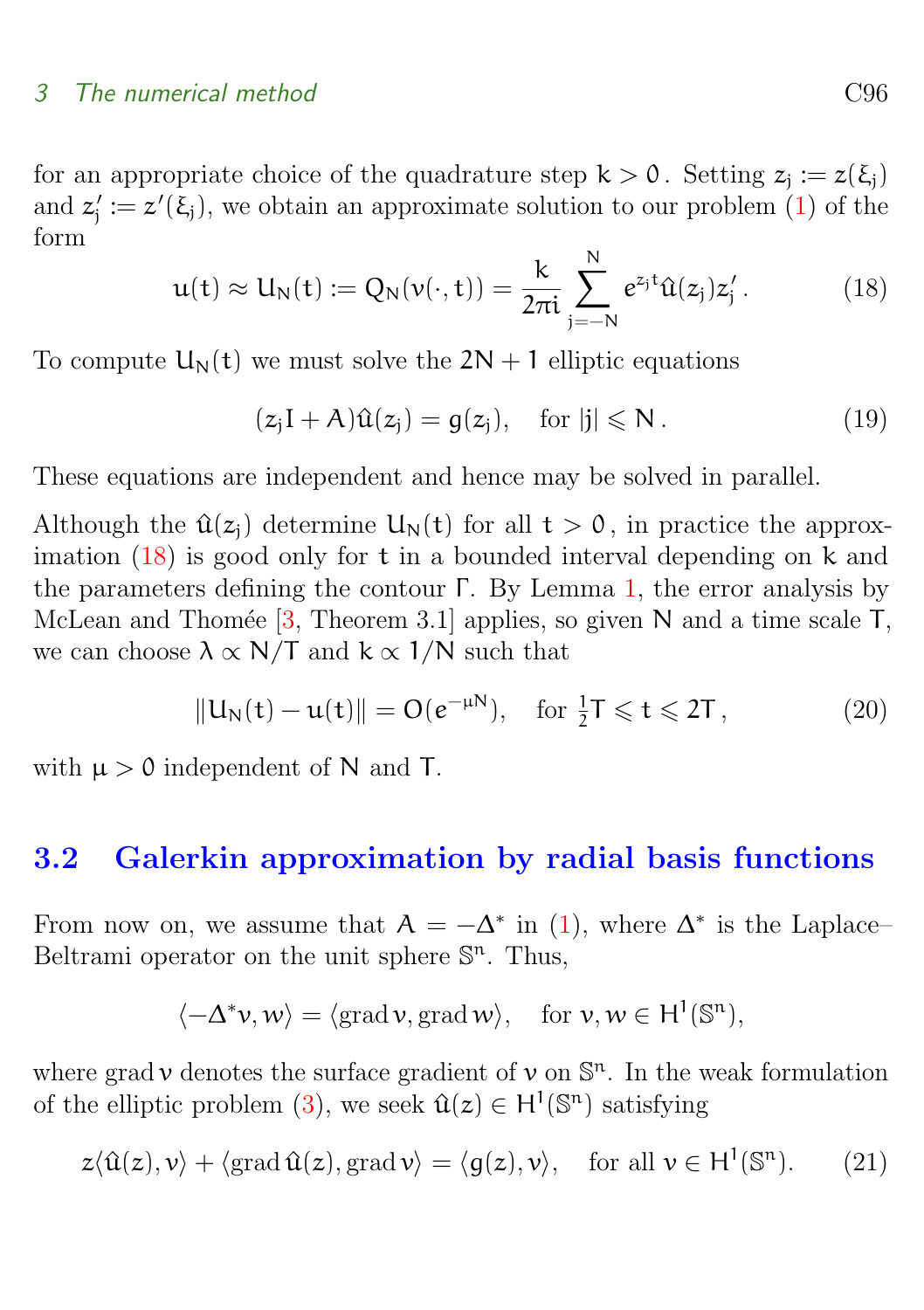#### <span id="page-7-4"></span>3 The numerical method C96

for an appropriate choice of the quadrature step  $k > 0$ . Setting  $z_j := z(\xi_j)$ and  $z_j' := z'(\xi_j)$ , we obtain an approximate solution to our problem [\(1\)](#page-1-1) of the form N

<span id="page-7-1"></span>
$$
u(t) \approx U_N(t) := Q_N(v(\cdot, t)) = \frac{k}{2\pi i} \sum_{j=-N}^{N} e^{z_j t} \hat{u}(z_j) z'_j.
$$
 (18)

To compute  $U_N(t)$  we must solve the  $2N + 1$  elliptic equations

$$
(z_j I + A)\hat{u}(z_j) = g(z_j), \quad \text{for } |j| \leq N. \tag{19}
$$

These equations are independent and hence may be solved in parallel.

Although the  $\hat{u}(z_i)$  determine  $U_N(t)$  for all  $t > 0$ , in practice the approximation [\(18\)](#page-7-1) is good only for t in a bounded interval depending on k and the parameters defining the contour  $\Gamma$ . By Lemma [1,](#page-3-3) the error analysis by McLean and Thomée  $[3,$  Theorem 3.1] applies, so given N and a time scale T, we can choose  $\lambda \propto N/T$  and  $k \propto 1/N$  such that

<span id="page-7-3"></span>
$$
||U_N(t) - u(t)|| = O(e^{-\mu N}), \quad \text{for } \frac{1}{2}T \leqslant t \leqslant 2T,
$$
 (20)

with  $\mu > 0$  independent of N and T.

### <span id="page-7-0"></span>3.2 Galerkin approximation by radial basis functions

From now on, we assume that  $A = -\Delta^*$  in [\(1\)](#page-1-1), where  $\Delta^*$  is the Laplace– Beltrami operator on the unit sphere  $\mathbb{S}^n$ . Thus,

$$
\langle -\Delta^* \nu, w \rangle = \langle \operatorname{grad} \nu, \operatorname{grad} w \rangle, \quad \text{for } \nu, w \in H^1(\mathbb{S}^n),
$$

where grad  $\nu$  denotes the surface gradient of  $\nu$  on  $\mathbb{S}^n$ . In the weak formulation of the elliptic problem [\(3\)](#page-1-3), we seek  $\hat{u}(z) \in H^1(\mathbb{S}^n)$  satisfying

<span id="page-7-2"></span>
$$
z \langle \hat{u}(z), v \rangle + \langle \operatorname{grad} \hat{u}(z), \operatorname{grad} v \rangle = \langle g(z), v \rangle, \quad \text{for all } v \in H^1(\mathbb{S}^n). \tag{21}
$$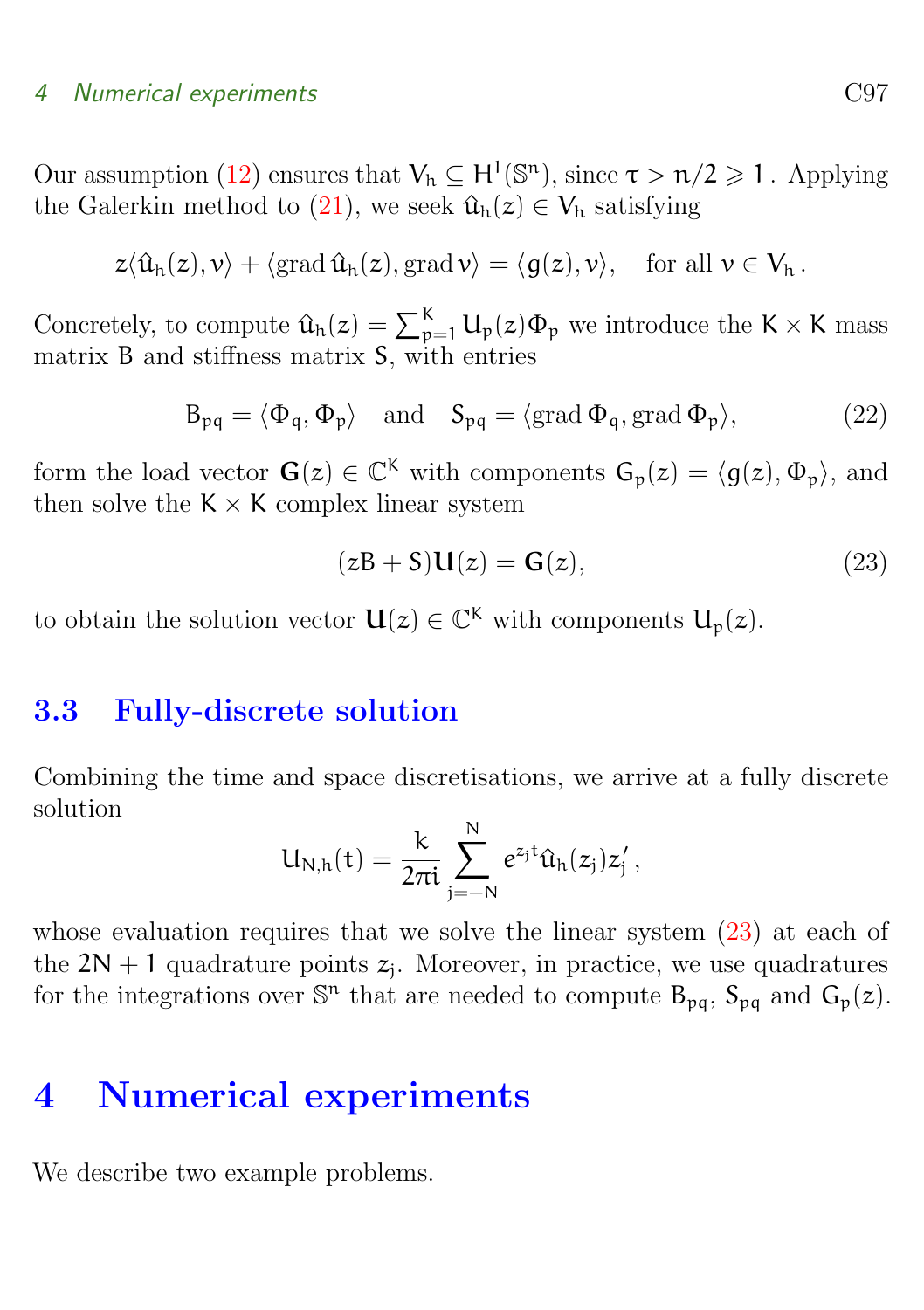#### 4 Numerical experiments C97

Our assumption [\(12\)](#page-5-1) ensures that  $V_h \subseteq H^1(\mathbb{S}^n)$ , since  $\tau > n/2 \geq 1$ . Applying the Galerkin method to [\(21\)](#page-7-2), we seek  $\hat{u}_h(z) \in V_h$  satisfying

$$
z\langle \hat{u}_h(z), v \rangle + \langle \operatorname{grad} \hat{u}_h(z), \operatorname{grad} v \rangle = \langle g(z), v \rangle, \quad \text{for all } v \in V_h.
$$

Concretely, to compute  $\hat{u}_h(z) = \sum_{p=1}^K u_p(z) \Phi_p$  we introduce the K  $\times$  K mass matrix B and stiffness matrix S, with entries

<span id="page-8-3"></span>
$$
B_{pq} = \langle \Phi_q, \Phi_p \rangle \quad \text{and} \quad S_{pq} = \langle \text{grad } \Phi_q, \text{grad } \Phi_p \rangle,\tag{22}
$$

form the load vector  $\mathbf{G}(z) \in \mathbb{C}^K$  with components  $\mathbf{G}_p(z) = \langle g(z), \Phi_p \rangle$ , and then solve the  $K \times K$  complex linear system

<span id="page-8-2"></span>
$$
(zB + S)\mathbf{U}(z) = \mathbf{G}(z),\tag{23}
$$

to obtain the solution vector  $\mathbf{U}(z) \in \mathbb{C}^K$  with components  $\mathbf{U}_p(z)$ .

### <span id="page-8-0"></span>3.3 Fully-discrete solution

Combining the time and space discretisations, we arrive at a fully discrete solution

$$
U_{N,h}(t)=\frac{k}{2\pi i}\sum_{j=-N}^Ne^{z_jt}\hat{u}_h(z_j)z_j'\,,
$$

whose evaluation requires that we solve the linear system  $(23)$  at each of the  $2N + 1$  quadrature points  $z_j$ . Moreover, in practice, we use quadratures for the integrations over  $\mathbb{S}^n$  that are needed to compute  $B_{pq}$ ,  $S_{pq}$  and  $G_p(z)$ .

# <span id="page-8-1"></span>4 Numerical experiments

We describe two example problems.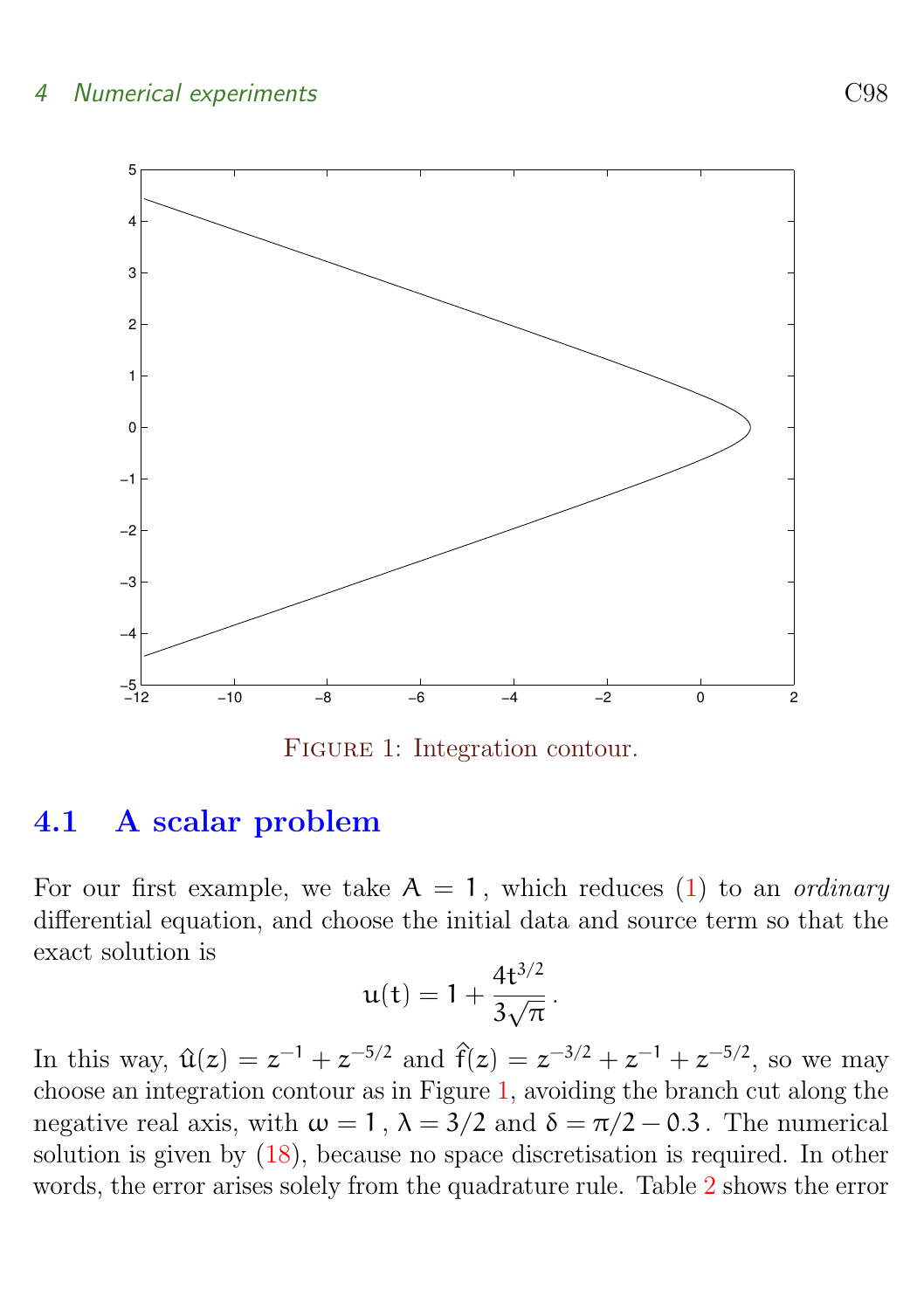#### 4 Numerical experiments C98



<span id="page-9-1"></span>FIGURE 1: Integration contour.

### <span id="page-9-0"></span>4.1 A scalar problem

For our first example, we take  $A = 1$ , which reduces [\(1\)](#page-1-1) to an *ordinary* differential equation, and choose the initial data and source term so that the exact solution is

$$
u(t) = 1 + \frac{4t^{3/2}}{3\sqrt{\pi}}.
$$

In this way,  $\hat{u}(z) = z^{-1} + z^{-5/2}$  and  $\hat{f}(z) = z^{-3/2} + z^{-1} + z^{-5/2}$ , so we may choose an integration contour as in Figure [1,](#page-9-1) avoiding the branch cut along the negative real axis, with  $\omega = 1$ ,  $\lambda = 3/2$  and  $\delta = \pi/2 - 0.3$ . The numerical solution is given by [\(18\)](#page-7-1), because no space discretisation is required. In other words, the error arises solely from the quadrature rule. Table [2](#page-10-1) shows the error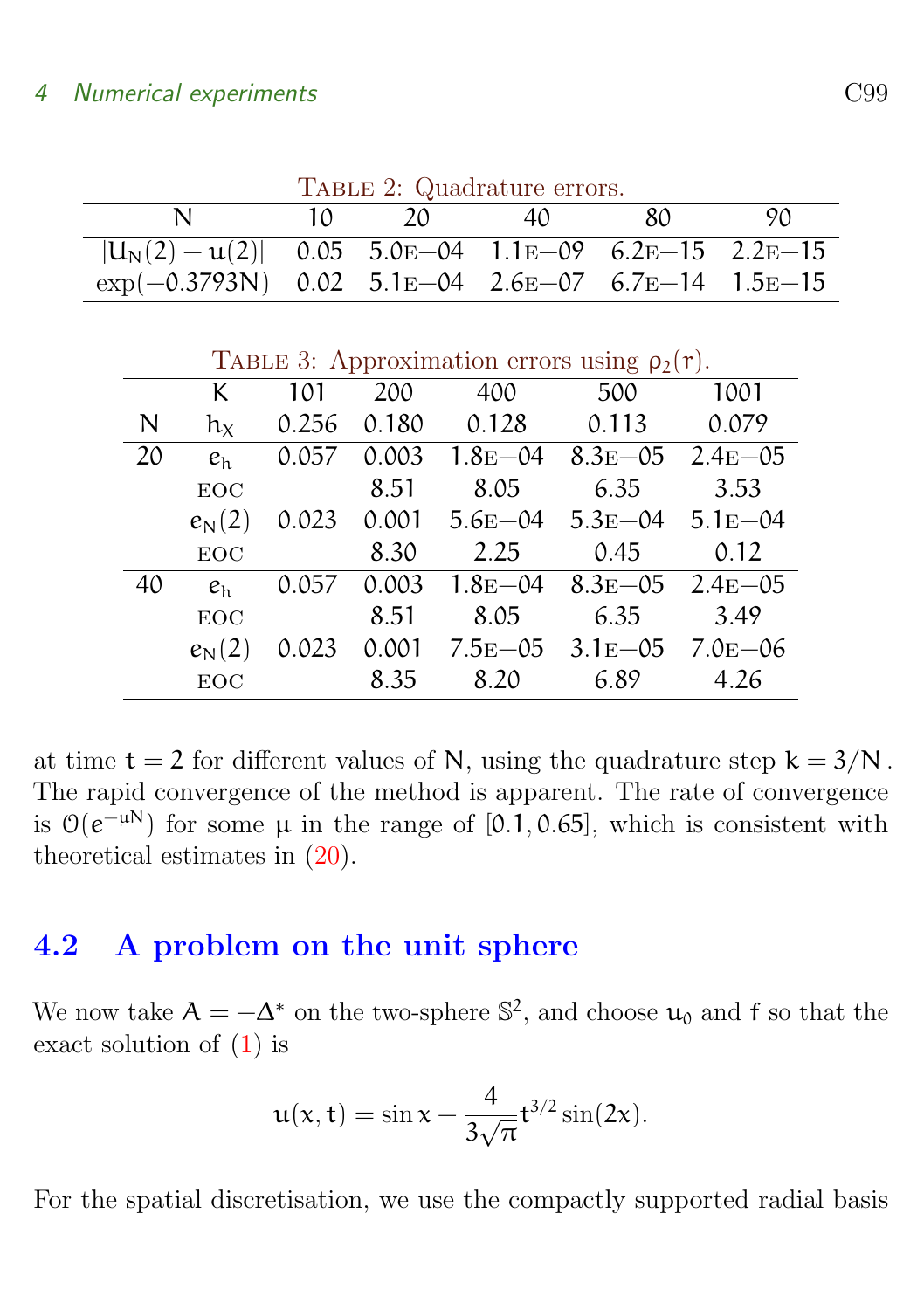| TABLE 2: Quadrature errors.                                           |        |    |    |      |     |  |  |
|-----------------------------------------------------------------------|--------|----|----|------|-----|--|--|
|                                                                       | $10 -$ | 20 | 40 | -80- | 90. |  |  |
| $ U_N(2) - u(2) $ 0.05 5.0 E -04 1.1 E -09 6.2 E -15 2.2 E -15        |        |    |    |      |     |  |  |
| $\exp(-0.3793N)$ 0.02 5.1 $E$ -04 2.6 $E$ -07 6.7 $E$ -14 1.5 $E$ -15 |        |    |    |      |     |  |  |

<span id="page-10-2"></span><span id="page-10-1"></span> $T_{\text{t}}$  prop. Quadrature  $Q$ .

|    | TABLE 3: Approximation errors using $\rho_2(r)$ . |       |       |             |                                     |              |  |  |
|----|---------------------------------------------------|-------|-------|-------------|-------------------------------------|--------------|--|--|
|    | K                                                 | 101   | 200   | 400         | 500                                 | 1001         |  |  |
| N  | $h_X$                                             | 0.256 | 0.180 | 0.128       | 0.113                               | 0.079        |  |  |
| 20 | e <sub>h</sub>                                    | 0.057 | 0.003 |             | $1.8E - 04$ $8.3E - 05$ $2.4E - 05$ |              |  |  |
|    | EOC                                               |       | 8.51  | 8.05        | 6.35                                | 3.53         |  |  |
|    | $e_{\rm N}(2)$                                    | 0.023 | 0.001 | $5.6E - 04$ | $5.3E - 04$ $5.1E - 04$             |              |  |  |
|    | <b>EOC</b>                                        |       | 8.30  | 2.25        | 0.45                                | 0.12         |  |  |
| 40 | $e_h$                                             | 0.057 | 0.003 | $1.8E - 04$ | $8.3E - 0.5$                        | $2.4E - 0.5$ |  |  |
|    | EOC                                               |       | 8.51  | 8.05        | 6.35                                | 3.49         |  |  |
|    | $e_{\rm N}(2)$                                    | 0.023 | 0.001 | $7.5E - 05$ | $3.1E - 05$                         | $7.0E - 06$  |  |  |
|    | EOC                                               |       | 8.35  | 8.20        | 6.89                                | 4.26         |  |  |

at time  $t = 2$  for different values of N, using the quadrature step  $k = 3/N$ . The rapid convergence of the method is apparent. The rate of convergence is  $\mathcal{O}(e^{-\mu N})$  for some  $\mu$  in the range of [0.1, 0.65], which is consistent with theoretical estimates in [\(20\)](#page-7-3).

## <span id="page-10-0"></span>4.2 A problem on the unit sphere

We now take  $A = -\Delta^*$  on the two-sphere  $\mathbb{S}^2$ , and choose  $\mathfrak{u}_0$  and f so that the exact solution of [\(1\)](#page-1-1) is

$$
u(x,t) = \sin x - \frac{4}{3\sqrt{\pi}}t^{3/2}\sin(2x).
$$

For the spatial discretisation, we use the compactly supported radial basis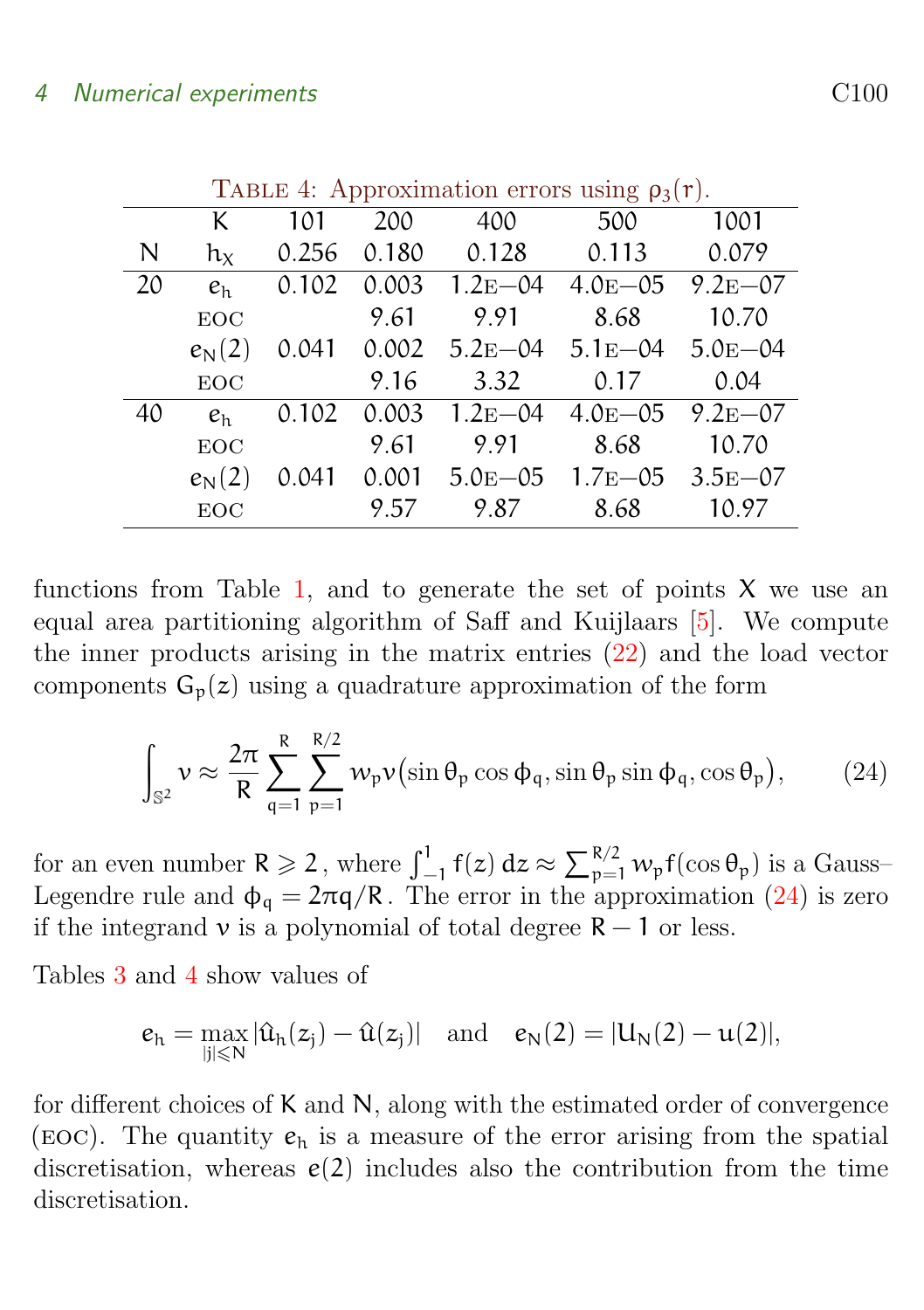<span id="page-11-2"></span>

|    | TABLE 4: Approximation errors using $\rho_3(r)$ . |       |       |                         |              |             |  |
|----|---------------------------------------------------|-------|-------|-------------------------|--------------|-------------|--|
|    | K                                                 | 101   | 200   | 400                     | 500          | 1001        |  |
| N  | $h_X$                                             | 0.256 | 0.180 | 0.128                   | 0.113        | 0.079       |  |
| 20 | e <sub>h</sub>                                    | 0.102 | 0.003 | $1.2E - 04$             | $4.0E - 0.5$ | $9.2E - 07$ |  |
|    | <b>EOC</b>                                        |       | 9.61  | 9.91                    | 8.68         | 10.70       |  |
|    | $e_{\rm N}(2)$                                    | 0.041 | 0.002 | $5.2E - 04$ $5.1E - 04$ |              | $5.0E - 04$ |  |
|    | <b>EOC</b>                                        |       | 9.16  | 3.32                    | 0.17         | 0.04        |  |
| 40 | e <sub>h</sub>                                    | 0.102 | 0.003 | $1.2E - 04$             | $4.0E - 05$  | $9.2E - 07$ |  |
|    | <b>EOC</b>                                        |       | 9.61  | 9.91                    | 8.68         | 10.70       |  |
|    | $e_{\rm N}(2)$                                    | 0.041 | 0.001 | $5.0E - 0.5$            | $1.7E - 0.5$ | $3.5E - 07$ |  |
|    | <b>EOC</b>                                        |       | 9.57  | 9.87                    | 8.68         | 10.97       |  |

<span id="page-11-1"></span> $T_{\text{ADF}}$   $\sim$  4: Approximation  $\sim$ 

functions from Table [1,](#page-5-0) and to generate the set of points  $X$  we use an equal area partitioning algorithm of Saff and Kuijlaars [\[5\]](#page-12-5). We compute the inner products arising in the matrix entries [\(22\)](#page-8-3) and the load vector components  $G_p(z)$  using a quadrature approximation of the form

<span id="page-11-0"></span>
$$
\int_{\mathbb{S}^2} \nu \approx \frac{2\pi}{R} \sum_{q=1}^R \sum_{p=1}^{R/2} w_p \nu(\sin \theta_p \cos \phi_q, \sin \theta_p \sin \phi_q, \cos \theta_p),\tag{24}
$$

for an even number  $R \geqslant 2$ , where  $\int_{-1}^{1} f(z) dz \approx \sum_{p=1}^{R/2} w_p f(\cos \theta_p)$  is a Gauss-Legendre rule and  $\phi_{\mathfrak{a}} = 2\pi q/R$ . The error in the approximation [\(24\)](#page-11-0) is zero if the integrand  $\nu$  is a polynomial of total degree  $R - 1$  or less.

Tables [3](#page-10-2) and [4](#page-11-1) show values of

$$
e_h=\max_{|j|\leqslant N}|\hat{u}_h(z_j)-\hat{u}(z_j)|\quad\mathrm{and}\quad e_N(2)=|U_N(2)-u(2)|,
$$

for different choices of K and N, along with the estimated order of convergence (EOC). The quantity  $e_h$  is a measure of the error arising from the spatial discretisation, whereas  $e(2)$  includes also the contribution from the time discretisation.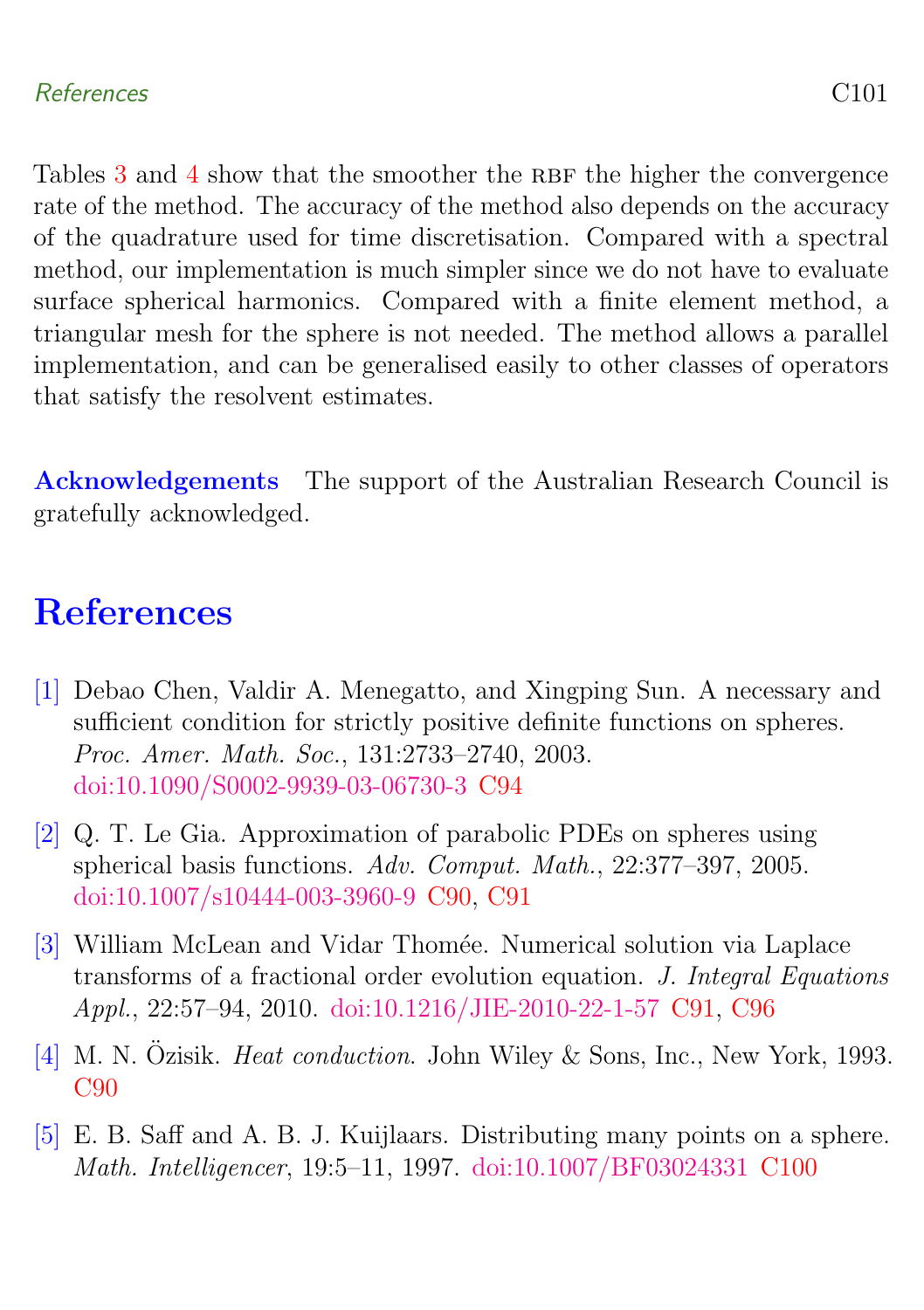### References C101

Tables  $3$  and  $4$  show that the smoother the RBF the higher the convergence rate of the method. The accuracy of the method also depends on the accuracy of the quadrature used for time discretisation. Compared with a spectral method, our implementation is much simpler since we do not have to evaluate surface spherical harmonics. Compared with a finite element method, a triangular mesh for the sphere is not needed. The method allows a parallel implementation, and can be generalised easily to other classes of operators that satisfy the resolvent estimates.

Acknowledgements The support of the Australian Research Council is gratefully acknowledged.

# <span id="page-12-0"></span>**References**

- <span id="page-12-4"></span>[1] Debao Chen, Valdir A. Menegatto, and Xingping Sun. A necessary and sufficient condition for strictly positive definite functions on spheres. Proc. Amer. Math. Soc., 131:2733–2740, 2003. [doi:10.1090/S0002-9939-03-06730-3](http://dx.doi.org/10.1090/S0002-9939-03-06730-3) [C94](#page-5-2)
- <span id="page-12-1"></span>[2] Q. T. Le Gia. Approximation of parabolic PDEs on spheres using spherical basis functions. Adv. Comput. Math., 22:377–397, 2005. [doi:10.1007/s10444-003-3960-9](http://dx.doi.org/10.1007/s10444-003-3960-9) [C90,](#page-1-4) [C91](#page-2-4)
- <span id="page-12-3"></span>[3] William McLean and Vidar Thomée. Numerical solution via Laplace transforms of a fractional order evolution equation. J. Integral Equations Appl., 22:57–94, 2010. [doi:10.1216/JIE-2010-22-1-57](http://dx.doi.org/10.1216/JIE-2010-22-1-57) [C91,](#page-2-4) [C96](#page-7-4)
- <span id="page-12-2"></span>[4] M. N. Özisik. *Heat conduction*. John Wiley & Sons, Inc., New York, 1993. [C90](#page-1-4)
- <span id="page-12-5"></span>[5] E. B. Saff and A. B. J. Kuijlaars. Distributing many points on a sphere. Math. Intelligencer, 19:5–11, 1997. [doi:10.1007/BF03024331](http://dx.doi.org/10.1007/BF03024331) [C100](#page-11-2)